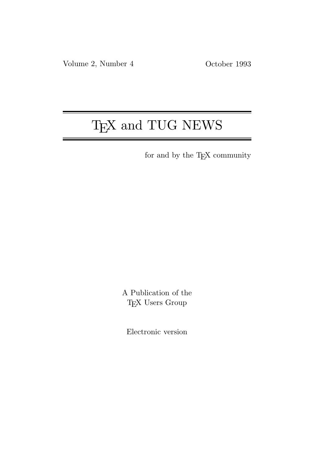# T<sub>E</sub>X and TUG NEWS

for and by the T<sub>E</sub>X community

A Publication of the T<sub>E</sub>X Users Group

Electronic version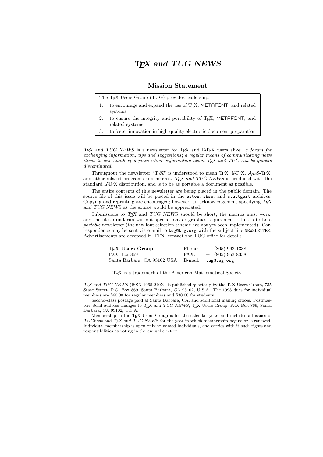## TEX and TUG NEWS

#### Mission Statement

The T<sub>E</sub>X Users Group (TUG) provides leadership:

- 1. to encourage and expand the use of TEX, METAFONT, and related systems
- 2. to ensure the integrity and portability of T<sub>E</sub>X, METAFONT, and related systems
- 3. to foster innovation in high-quality electronic document preparation

TEX and TUG NEWS is a newsletter for TEX and LATEX users alike: a forum for exchanging information, tips and suggestions; a regular means of communicating news items to one another; a place where information about  $T_F X$  and  $T U G$  can be quickly disseminated.

Throughout the newsletter "TEX" is understood to mean TEX, LATEX,  $\mathcal{A}\mathcal{M}$ S-TEX, and other related programs and macros. TEX and TUG NEWS is produced with the standard L<sup>A</sup>TEX distribution, and is to be as portable a document as possible.

The entire contents of this newsletter are being placed in the public domain. The source file of this issue will be placed in the aston, shsu, and stuttgart archives. Copying and reprinting are encouraged; however, an acknowledgement specifying  $T<sub>F</sub>X$ and TUG NEWS as the source would be appreciated.

Submissions to  $T_F X$  and  $TUG$  NEWS should be short, the macros must work, and the files must run without special font or graphics requirements: this is to be a portable newsletter (the new font selection scheme has not yet been implemented). Correspondence may be sent via e-mail to tug@tug.org with the subject line NEWSLETTER. Advertisements are accepted in TTN: contact the TUG office for details.

| T <sub>F</sub> X Users Group | Phone: | $+1$ (805) 963-1338 |
|------------------------------|--------|---------------------|
| P.O. Box 869                 | FAX:   | $+1$ (805) 963-8358 |
| Santa Barbara, CA 93102 USA  |        | E-mail: tug@tug.org |

TEX is a trademark of the American Mathematical Society.

TEX and TUG NEWS (ISSN 1065-240X) is published quarterly by the TEX Users Group, 735 State Street, P.O. Box 869, Santa Barbara, CA 93102, U.S.A. The 1993 dues for individual members are \$60.00 for regular members and \$30.00 for students.

Second-class postage paid at Santa Barbara, CA, and additional mailing offices. Postmaster: Send address changes to TEX and TUG NEWS, TEX Users Group, P.O. Box 869, Santa Barbara, CA 93102, U.S.A.

Membership in the TEX Users Group is for the calendar year, and includes all issues of TUGboat and TEX and TUG NEWS for the year in which membership begins or is renewed. Individual membership is open only to named individuals, and carries with it such rights and responsibilities as voting in the annual election.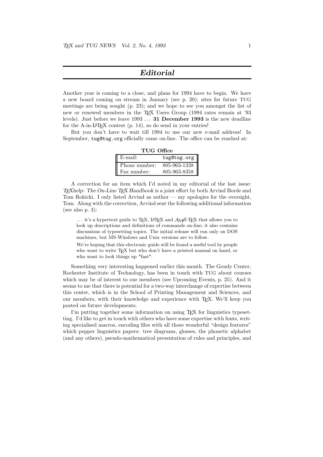#### Editorial

Another year is coming to a close, and plans for 1994 have to begin. We have a new board coming on stream in January (see p. 20); sites for future TUG meetings are being sought (p. 23); and we hope to see you amongst the list of new or renewed members in the TFX Users Group (1994 rates remain at '93 levels). Just before we leave 1993 . . . 31 December 1993 is the new deadline for the A-in-LAT<sub>EX</sub> contest  $(p. 14)$ , so do send in your entries!

But you don't have to wait till 1994 to use our new e-mail address! In September, tug@tug.org officially came on-line. The office can be reached at:

| TUG Office |  |
|------------|--|
|------------|--|

| $\mathbb{E}$ -mail: | tug@tug.org    |
|---------------------|----------------|
| Phone number:       | $805-963-1338$ |
| Fax number:         | 805-963-8358   |

A correction for an item which I'd noted in my editorial of the last issue: TEXhelp: The On-Line TEX Handbook is a joint effort by both Arvind Borde and Tom Rokicki. I only listed Arvind as author — my apologies for the oversight, Tom. Along with the correction, Arvind sent the following additional information (see also p. 3):

 $\ldots$  it's a hypertext guide to T<sub>EX</sub>, LAT<sub>EX</sub> and  $\mathcal{A}_{\mathcal{M}}$ S-T<sub>EX</sub> that allows you to look up descriptions and definitions of commands on-line; it also contains discussions of typesetting topics. The initial release will run only on DOS machines, but MS-Windows and Unix versions are to follow.

We're hoping that this electronic guide will be found a useful tool by people who want to write T<sub>E</sub>X but who don't have a printed manual on hand, or who want to look things up \*fast\*.

Something very interesting happened earlier this month. The Goudy Center, Rochester Institute of Technology, has been in touch with TUG about courses which may be of interest to our members (see Upcoming Events, p. 25). And it seems to me that there is potential for a two-way interchange of expertise between this center, which is in the School of Printing Management and Sciences, and our members, with their knowledge and experience with TEX. We'll keep you posted on future developments.

I'm putting together some information on using T<sub>EX</sub> for linguistics typesetting. I'd like to get in touch with others who have some expertise with fonts, writing specialised macros, encoding files with all those wonderful "design features" which pepper linguistics papers: tree diagrams, glosses, the phonetic alphabet (and any others), pseudo-mathematical presentation of rules and principles, and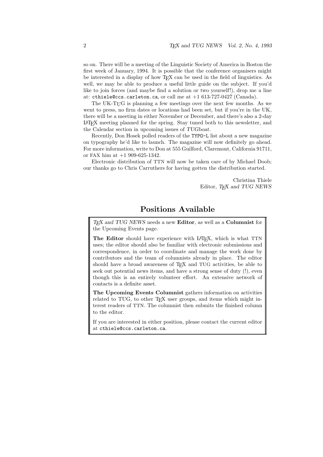so on. There will be a meeting of the Linguistic Society of America in Boston the first week of January, 1994. It is possible that the conference organisers might be interested in a display of how TEX can be used in the field of linguistics. As well, we may be able to produce a useful little guide on the subject. If you'd like to join forces (and maybe find a solution or two yourself!), drop me a line at: cthiele@ccs.carleton.ca, or call me at +1 613-727-0427 (Canada).

The UK-TUG is planning a few meetings over the next few months. As we went to press, no firm dates or locations had been set, but if you're in the UK, there will be a meeting in either November or December, and there's also a 2-day LATEX meeting planned for the spring. Stay tuned both to this newsletter, and the Calendar section in upcoming issues of TUGboat.

Recently, Don Hosek polled readers of the TYPO-L list about a new magazine on typography he'd like to launch. The magazine will now definitely go ahead. For more information, write to Don at 555 Guilford, Claremont, California 91711, or FAX him at +1 909-625-1342.

Electronic distribution of TTN will now be taken care of by Michael Doob; our thanks go to Chris Carruthers for having gotten the distribution started.

> Christina Thiele Editor, TEX and TUG NEWS

## Positions Available

TEX and TUG NEWS needs a new Editor, as well as a Columnist for the Upcoming Events page.

The Editor should have experience with L<sup>AT</sup>EX, which is what TTN uses; the editor should also be familiar with electronic submissions and correspondence, in order to coordinate and manage the work done by contributors and the team of columnists already in place. The editor should have a broad awareness of T<sub>E</sub>X and TUG activities, be able to seek out potential news items, and have a strong sense of duty (!), even though this is an entirely volunteer effort. An extensive network of contacts is a definite asset.

The Upcoming Events Columnist gathers information on activities related to TUG, to other TEX user groups, and items which might interest readers of TTN. The columnist then submits the finished column to the editor.

If you are interested in either position, please contact the current editor at cthiele@ccs.carleton.ca.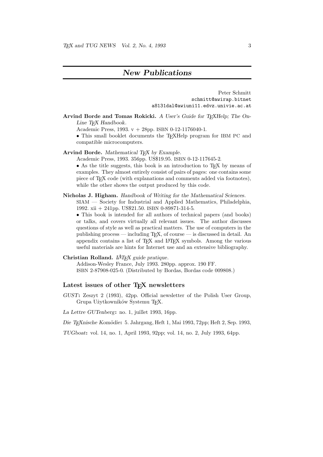## New Publications

Peter Schmitt schmitt@awirap.bitnet a8131dal@awiuni11.edvz.univie.ac.at

Arvind Borde and Tomas Rokicki. A User's Guide for TEXHelp; The On-Line T<sub>E</sub>X Handbook.

Academic Press, 1993. v + 28pp. ISBN 0-12-1176040-1.

• This small booklet documents the T<sub>E</sub>XHelp program for IBM PC and compatible microcomputers.

Arvind Borde. Mathematical TEX by Example.

Academic Press, 1993. 356pp. US\$19.95. ISBN 0-12-117645-2.

• As the title suggests, this book is an introduction to TFX by means of examples. They almost entirely consist of pairs of pages: one contains some piece of T<sub>E</sub>X code (with explanations and comments added via footnotes), while the other shows the output produced by this code.

#### Nicholas J. Higham. Handbook of Writing for the Mathematical Sciences. SIAM — Society for Industrial and Applied Mathematics, Philadelphia, 1992. xii + 241pp. US\$21.50. ISBN 0-89871-314-5.

• This book is intended for all authors of technical papers (and books) or talks, and covers virtually all relevant issues. The author discusses questions of style as well as practical matters. The use of computers in the publishing process — including  $T_{F}X$ , of course — is discussed in detail. An appendix contains a list of TEX and LATEX symbols. Among the various useful materials are hints for Internet use and an extensive bibliography.

#### Christian Rolland.  $L^{A}T$ FX guide pratique.

Addison-Wesley France, July 1993. 280pp. approx. 190 FF. ISBN 2-87908-025-0. (Distributed by Bordas, Bordas code 009808.)

#### Latest issues of other TEX newsletters

GUST: Zeszyt 2 (1993), 42pp. Official newsletter of the Polish User Group, Grupa Użytkowników Systemu T<sub>E</sub>X.

La Lettre GUTenberg: no. 1, juillet 1993, 16pp.

Die TEXnische Komödie: 5. Jahrgang, Heft 1, Mai 1993, 72pp; Heft 2, Sep. 1993,

TUGboat: vol. 14, no. 1, April 1993, 92pp; vol. 14, no. 2, July 1993, 64pp.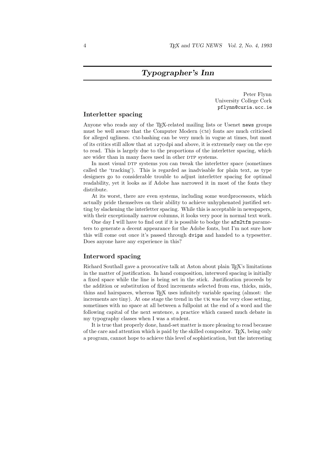Peter Flynn University College Cork pflynn@curia.ucc.ie

#### Interletter spacing

Anyone who reads any of the TEX-related mailing lists or Usenet news groups must be well aware that the Computer Modern (cm) fonts are much criticised for alleged ugliness. cm-bashing can be very much in vogue at times, but most of its critics still allow that at  $1270 \text{ dpi}$  and above, it is extremely easy on the eye to read. This is largely due to the proportions of the interletter spacing, which are wider than in many faces used in other DTP systems.

In most visual DTP systems you can tweak the interletter space (sometimes called the 'tracking'). This is regarded as inadvisable for plain text, as type designers go to considerable trouble to adjust interletter spacing for optimal readability, yet it looks as if Adobe has narrowed it in most of the fonts they distribute.

At its worst, there are even systems, including some wordprocessors, which actually pride themselves on their ability to achieve unhyphenated justified setting by slackening the interletter spacing. While this is acceptable in newspapers, with their exceptionally narrow columns, it looks very poor in normal text work.

One day I will have to find out if it is possible to bodge the afm2tfm parameters to generate a decent appearance for the Adobe fonts, but I'm not sure how this will come out once it's passed through dvips and handed to a typesetter. Does anyone have any experience in this?

#### Interword spacing

Richard Southall gave a provocative talk at Aston about plain T<sub>EX</sub>'s limitations in the matter of justification. In hand composition, interword spacing is initially a fixed space while the line is being set in the stick. Justification proceeds by the addition or substitution of fixed increments selected from ens, thicks, mids, thins and hairspaces, whereas TEX uses infinitely variable spacing (almost: the increments are tiny). At one stage the trend in the uk was for very close setting, sometimes with no space at all between a fullpoint at the end of a word and the following capital of the next sentence, a practice which caused much debate in my typography classes when I was a student.

It is true that properly done, hand-set matter is more pleasing to read because of the care and attention which is paid by the skilled compositor. T $\overline{F}X$ , being only a program, cannot hope to achieve this level of sophistication, but the interesting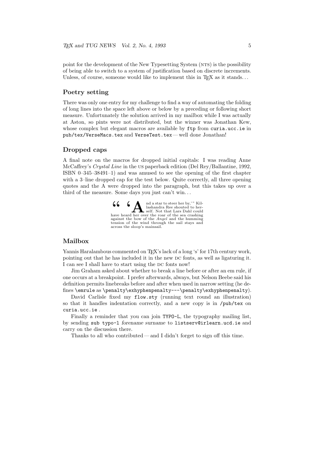point for the development of the New Typesetting System (NTS) is the possibility of being able to switch to a system of justification based on discrete increments. Unless, of course, someone would like to implement this in  $T_F X$  as it stands...

#### Poetry setting

There was only one entry for my challenge to find a way of automating the folding of long lines into the space left above or below by a preceding or following short measure. Unfortunately the solution arrived in my mailbox while I was actually at Aston, so pints were not distributed, but the winner was Jonathan Kew, whose complex but elegant macros are available by ftp from curia.ucc.ie in pub/tex/VerseMacs.tex and VerseTest.tex— well done Jonathan!

#### Dropped caps

A final note on the macros for dropped initial capitals: I was reading Anne McCaffrey's *Crystal Line* in the us paperback edition (Del Rey/Ballantine, 1992, ISBN 0–345–38491–1) and was amused to see the opening of the first chapter with a 3–line dropped cap for the test below. Quite correctly, all three opening quotes and the A were dropped into the paragraph, but this takes up over a third of the measure. Some days you just can't win. . .

> $\begin{array}{c} \begin{array}{c} \begin{array}{c} \end{array} \\ \begin{array}{c} \end{array} \\ \begin{array}{c} \end{array} \\ \begin{array}{c} \end{array} \\ \begin{array}{c} \end{array} \\ \begin{array}{c} \end{array} \\ \begin{array}{c} \end{array} \\ \begin{array}{c} \end{array} \\ \begin{array}{c} \end{array} \\ \begin{array}{c} \end{array} \\ \begin{array}{c} \end{array} \\ \begin{array}{c} \end{array} \\ \begin{array}{c} \end{array} \\ \begin{array}{c} \end{array} \\ \begin{array}{c} \end{array} \\ \begin{array}{c} \end{array$ lashandra Ree shouted to her-self. Not that Lars Dahl could have heard her over the roar of the sea crashing<br>against the bow of the *Angel* and the humming tension of the wind through the sail stays and across the sloop's mainsail.

#### Mailbox

Yannis Haralambous commented on TEX's lack of a long 's' for 17th century work, pointing out that he has included it in the new dc fonts, as well as ligaturing it. I can see I shall have to start using the DC fonts now!

Jim Graham asked about whether to break a line before or after an em rule, if one occurs at a breakpoint. I prefer afterwards, always, but Nelson Beebe said his definition permits linebreaks before and after when used in narrow setting (he defines \emrule as \penalty\exhyphenpenalty---\penalty\exhyphenpenalty).

David Carlisle fixed my flow.sty (running text round an illustration) so that it handles indentation correctly, and a new copy is in /pub/tex on curia.ucc.ie .

Finally a reminder that you can join TYPO-L, the typography mailing list, by sending sub typo-l forename surname to listserv@irlearn.ucd.ie and carry on the discussion there.

Thanks to all who contributed— and I didn't forget to sign off this time.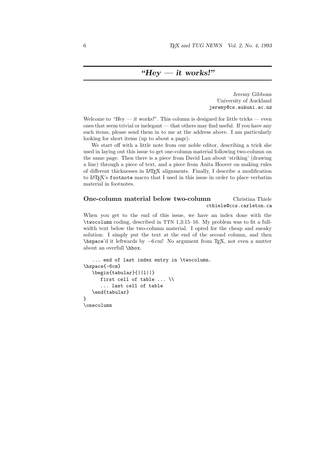Jeremy Gibbons University of Auckland jeremy@cs.aukuni.ac.nz

Welcome to "Hey — it works!". This column is designed for little tricks — even ones that seem trivial or inelegant — that others may find useful. If you have any such items, please send them in to me at the address above. I am particularly looking for short items (up to about a page).

We start off with a little note from our noble editor, describing a trick she used in laying out this issue to get one-column material following two-column on the same page. Then there is a piece from David Lau about 'striking' (drawing a line) through a piece of text, and a piece from Anita Hoover on making rules of different thicknesses in LATEX alignments. Finally, I describe a modification to LATEX's footnote macro that I used in this issue in order to place verbatim material in footnotes.

#### One-column material below two-column Christina Thiele cthiele@ccs.carleton.ca

When you get to the end of this issue, we have an index done with the \twocolumn coding, described in TTN 1,3:15–16. My problem was to fit a fullwidth text below the two-column material. I opted for the cheap and sneaky solution: I simply put the text at the end of the second column, and then \hspace'd it leftwards by −6 cm! No argument from TEX, not even a mutter about an overfull \hbox.

```
... end of last index entry in \twocolumn.
\hspace{-6cm}
   \begin{tabular}{||l||}
      first cell of table ... \\
      ... last cell of table
   \end{tabular}
}
\onecolumn
```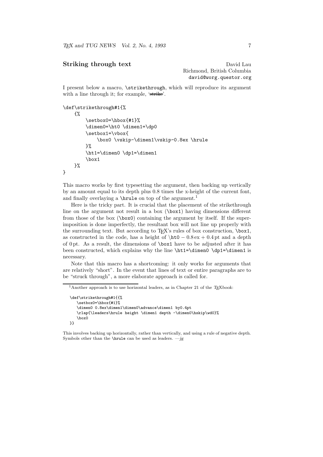#### Striking through text David Lau

Richmond, British Columbia david@worg.questor.org

I present below a macro, \strikethrough, which will reproduce its argument with a line through it; for example, 'strike'.

```
\def\strikethrough#1{%
    {%
        \setbox0=\hbox{#1}%
        \dimen0=\ht0 \dimen1=\dp0
        \setbox1=\vbox{
             \box0 \vskip-\dimen1\vskip-0.8ex \hrule
        \frac{1}{2}%
        \ht1=\dimen0 \dp1=\dimen1
        \box1
    }%
}
```
This macro works by first typesetting the argument, then backing up vertically by an amount equal to its depth plus 0.8 times the x-height of the current font, and finally overlaying a  $\hbox{\$ hrule on top of the argument.<sup>1</sup>

Here is the tricky part. It is crucial that the placement of the strikethrough line on the argument not result in a box  $(\text{box1})$  having dimensions different from those of the box (\box0) containing the argument by itself. If the superimposition is done imperfectly, the resultant box will not line up properly with the surrounding text. But according to T<sub>EX</sub>'s rules of box construction,  $\boxtimes 1$ , as constructed in the code, has a height of  $\hbar 0 - 0.8 \text{ ex} + 0.4 \text{ pt}$  and a depth of 0 pt. As a result, the dimensions of \box1 have to be adjusted after it has been constructed, which explains why the line \ht1=\dimen0 \dp1=\dimen1 is necessary.

Note that this macro has a shortcoming: it only works for arguments that are relatively "short". In the event that lines of text or entire paragraphs are to be "struck through", a more elaborate approach is called for.

<sup>&</sup>lt;sup>1</sup>Another approach is to use horizontal leaders, as in Chapter 21 of the TEXbook:

<sup>\</sup>def\strikethrough#1{{% \setbox0=\hbox{#1}% \dimen0 0.8ex\dimen1\dimen0\advance\dimen1 by0.4pt \rlap{\leaders\hrule height \dimen1 depth -\dimen0\hskip\wd0}% \box0 }}

This involves backing up horizontally, rather than vertically, and using a rule of negative depth. Symbols other than the **\hrule** can be used as leaders.  $-jg$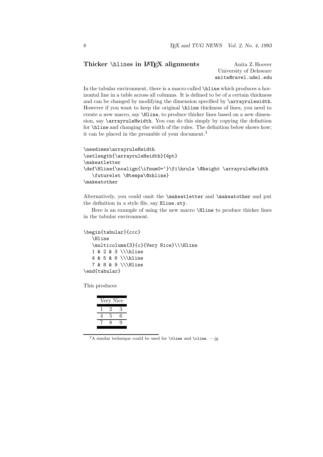### Thicker \hlines in LAT<sub>E</sub>X alignments Anita Z. Hoover

University of Delaware anita@ravel.udel.edu

In the tabular environment, there is a macro called \hline which produces a horizontal line in a table across all columns. It is defined to be of a certain thickness and can be changed by modifying the dimension specified by \arrayrulewidth. However if you want to keep the original \hline thickness of lines, you need to create a new macro, say \Hline, to produce thicker lines based on a new dimension, say \arrayruleHwidth. You can do this simply by copying the definition for \hline and changing the width of the rules. The definition below shows how; it can be placed in the preamble of your document.<sup>2</sup>

```
\newdimen\arrayruleHwidth
\setlength{\arrayruleHwidth}{4pt}
\makeatletter
\def\Hline{\noalign{\ifnum0='}\fi\hrule \@height \arrayruleHwidth
   \futurelet \@tempa\@xhline}
\makeatother
```
Alternatively, you could omit the \makeatletter and \makeatother and put the definition in a style file, say Hline.sty.

Here is an example of using the new macro **\Hline** to produce thicker lines in the tabular environment.

```
\begin{tabular}{ccc}
   \Hline
   \multicolumn{3}{c}{Very Nice}\\\Hline
   1 & 2 & 3 \\\hline
   4 & 5 & 6 \\\hline
   7 & 8 & 9 \\\Hline
\end{tabular}
```
This produces

|   | Very Nice |   |
|---|-----------|---|
|   | ''        | 3 |
| 4 | 5         | 6 |
|   | R         | ч |
|   |           |   |

<sup>2</sup>A similar technique could be used for **\vline** and **\cline.** —jg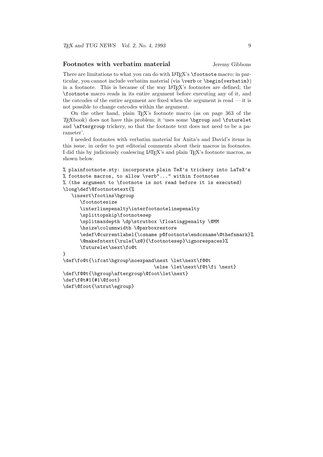#### Footnotes with verbatim material Jeremy Gibbons

There are limitations to what you can do with LAT<sub>EX</sub>'s **\footnote** macro; in particular, you cannot include verbatim material (via \verb or \begin{verbatim}) in a footnote. This is because of the way LAT<sub>EX</sub>'s footnotes are defined; the \footnote macro reads in its entire argument before executing any of it, and the catcodes of the entire argument are fixed when the argument is read — it is not possible to change catcodes within the argument.

On the other hand, plain TEX's footnote macro (as on page 363 of the  $T<sub>F</sub>Xbook$  does not have this problem; it 'uses some  $\b{pgroup}$  and  $\f{t{truelet}}$ and \aftergroup trickery, so that the footnote text does not need to be a parameter'.

I needed footnotes with verbatim material for Anita's and David's items in this issue, in order to put editorial comments about their macros in footnotes. I did this by judiciously coalescing LATEX's and plain TEX's footnote macros, as shown below.

```
% plainfootnote.sty: incorporate plain TeX's trickery into LaTeX's
% footnote macros, to allow \verb"..." within footnotes
% (the argument to \footnote is not read before it is executed)
\long\def\@footnotetext{%
   \insert\footins\bgroup
      \footnotesize
      \interlinepenalty\interfootnotelinepenalty
      \splittopskip\footnotesep
      \splitmaxdepth \dp\strutbox \floatingpenalty \@MM
      \hsize\columnwidth \@parboxrestore
      \edef\@currentlabel{\csname p@footnote\endcsname\@thefnmark}%
      \@makefntext{\rule{\z@}{\footnotesep}\ignorespaces}%
      \futurelet\next\fo@t
}
\def\fo@t{\ifcat\bgroup\noexpand\next \let\next\f@@t
                                \else \let\next\f@t\fi \next}
\def\f@@t{\bgroup\aftergroup\@foot\let\next}
\def\f@t#1{#1\@foot}
\def\@foot{\strut\egroup}
```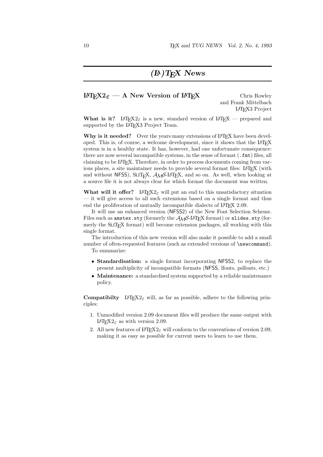#### $\text{LATEX2}_{\varepsilon}$  — A New Version of  $\text{LATEX}$  Chris Rowley

and Frank Mittelbach L<sup>A</sup>TEX3 Project

What is it? LAT<sub>E</sub>X<sub>2</sub> $\varepsilon$  is a new, standard version of LAT<sub>E</sub>X — prepared and supported by the IATEX3 Project Team.

Why is it needed? Over the years many extensions of LATEX have been developed. This is, of course, a welcome development, since it shows that the LAT<sub>EX</sub> system is in a healthy state. It has, however, had one unfortunate consequence: there are now several incompatible systems, in the sense of format (.fmt) files, all claiming to be LATEX. Therefore, in order to process documents coming from various places, a site maintainer needs to provide several format files: LAT<sub>E</sub>X (with and without NFSS), SLIT<sub>E</sub>X,  $A_{\mathcal{M}}S$ -L<sup>A</sup>T<sub>E</sub>X, and so on. As well, when looking at a source file it is not always clear for which format the document was written.

What will it offer? LAT<sub>E</sub>X<sub>2 $\varepsilon$ </sub> will put an end to this unsatisfactory situation — it will give access to all such extensions based on a single format and thus end the proliferation of mutually incompatible dialects of IATEX 2.09.

It will use an enhanced version (NFSS2) of the New Font Selection Scheme. Files such as amstex.sty (formerly the  $\mathcal{A}\mathcal{M}$ S-LAT<sub>E</sub>X format) or slides.sty (formerly the  $SLT<sub>F</sub>X$  format) will become extension packages, all working with this single format.

The introduction of this new version will also make it possible to add a small number of often-requested features (such as extended versions of  $\newcommand{\th}{newcommand}$ .

To summarize:

- Standardisation: a single format incorporating NFSS2, to replace the present multiplicity of incompatible formats (NFSS, lfonts, pslfonts, etc.)
- Maintenance: a standardised system supported by a reliable maintenance policy.

**Compatibilty** L<sup>A</sup>T<sub>E</sub>X<sub>2</sub> $\varepsilon$  will, as far as possible, adhere to the following principles:

- 1. Unmodified version 2.09 document files will produce the same output with LAT<sub>E</sub>X<sub>2 $\varepsilon$ </sub> as with version 2.09.
- 2. All new features of  $\text{LATF}X2_{\varepsilon}$  will conform to the conventions of version 2.09, making it as easy as possible for current users to learn to use them.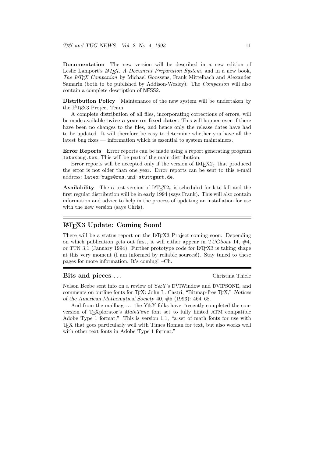Documentation The new version will be described in a new edition of Leslie Lamport's *LAT<sub>E</sub>X*: A Document Preparation System, and in a new book, *The L*A*TEX Companion* by Michael Goossens, Frank Mittelbach and Alexander Samarin (both to be published by Addison-Wesley). The *Companion* will also contain a complete description of NFSS2.

Distribution Policy Maintenance of the new system will be undertaken by the LAT<sub>F</sub>X3 Project Team.

A complete distribution of all files, incorporating corrections of errors, will be made available twice a year on fixed dates. This will happen even if there have been no changes to the files, and hence only the release dates have had to be updated. It will therefore be easy to determine whether you have all the latest bug fixes — information which is essential to system maintainers.

Error Reports Error reports can be made using a report generating program latexbug.tex. This will be part of the main distribution.

Error reports will be accepted only if the version of  $\text{LATEX2}_{\epsilon}$  that produced the error is not older than one year. Error reports can be sent to this e-mail address: latex-bugs@rus.uni-stuttgart.de.

**Availability** The  $\alpha$ -test version of  $\text{LATEX2}_{\epsilon}$  is scheduled for late fall and the first regular distribution will be in early 1994 (says Frank). This will also contain information and advice to help in the process of updating an installation for use with the new version (says Chris).

#### L<sup>A</sup>TEX3 Update: Coming Soon!

There will be a status report on the LATEX3 Project coming soon. Depending on which publication gets out first, it will either appear in TUGboat 14,  $#4$ , or TTN 3,1 (January 1994). Further prototype code for LAT<sub>E</sub>X<sub>3</sub> is taking shape at this very moment (I am informed by reliable sources!). Stay tuned to these pages for more information. It's coming! –Ch.

#### Bits and pieces . . . Christina Thiele

Nelson Beebe sent info on a review of Y&Y's DVIWindow and DVIPSONE, and comments on outline fonts for T<sub>EX</sub>: John L. Castri, "Bitmap-free T<sub>EX</sub>," Notices of the American Mathematical Society 40, #5 (1993): 464–68.

And from the mailbag  $\dots$  the Y&Y folks have "recently completed the conversion of TEXplorator's *MathTime* font set to fully hinted ATM compatible Adobe Type 1 format." This is version 1.1, "a set of math fonts for use with TEX that goes particularly well with Times Roman for text, but also works well with other text fonts in Adobe Type 1 format."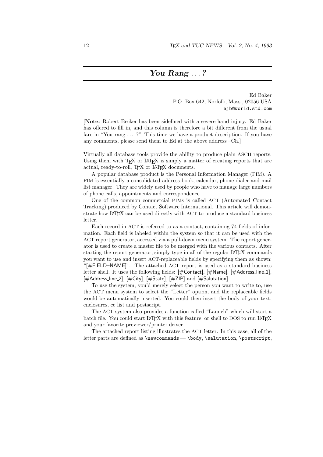#### You Rang ...?

Ed Baker P.O. Box 642, Norfolk, Mass., 02056 USA ejb@world.std.com

[Note: Robert Becker has been sidelined with a severe hand injury. Ed Baker has offered to fill in, and this column is therefore a bit different from the usual fare in "You rang ... ?" This time we have a product description. If you have any comments, please send them to Ed at the above address –Ch.]

Virtually all database tools provide the ability to produce plain ASCII reports. Using them with  $T_{\text{F}}X$  or LAT<sub>E</sub>X is simply a matter of creating reports that are actual, ready-to-roll, TFX or L<sup>AT</sup>FX documents.

A popular database product is the Personal Information Manager (PIM). A PIM is essentially a consolidated address book, calendar, phone dialer and mail list manager. They are widely used by people who have to manage large numbers of phone calls, appointments and correspondence.

One of the common commercial PIMs is called ACT (Automated Contact Tracking) produced by Contact Software International. This article will demonstrate how LAT<sub>EX</sub> can be used directly with ACT to produce a standard business letter.

Each record in ACT is referred to as a contact, containing 74 fields of information. Each field is labeled within the system so that it can be used with the ACT report generator, accessed via a pull-down menu system. The report generator is used to create a master file to be merged with the various contacts. After starting the report generator, simply type in all of the regular LAT<sub>EX</sub> commands you want to use and insert ACT-replaceable fields by specifying them as shown: "[#FIELD–NAME]". The attached ACT report is used as a standard business letter shell. It uses the following fields: [#Contact], [#Name], [#Address\_line\_1], [#Address\_line\_2], [#City], [#State], [#ZIP] and [#Salutation].

To use the system, you'd merely select the person you want to write to, use the ACT menu system to select the "Letter" option, and the replaceable fields would be automatically inserted. You could then insert the body of your text, enclosures, cc list and postscript.

The ACT system also provides a function called "Launch" which will start a batch file. You could start LATEX with this feature, or shell to DOS to run LATEX and your favorite previewer/printer driver.

The attached report listing illustrates the ACT letter. In this case, all of the letter parts are defined as \newcommands — \body, \salutation, \postscript,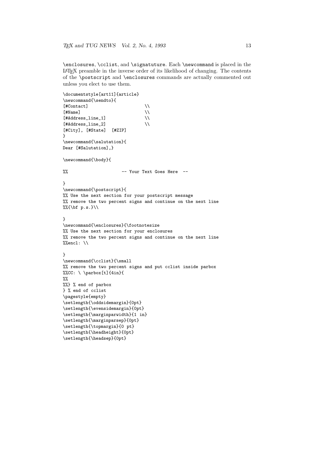\enclosures, \cclist, and \signatuture. Each \newcommand is placed in the LATEX preamble in the inverse order of its likelihood of changing. The contents of the \postscript and \enclosures commands are actually commented out unless you elect to use them.

```
\documentstyle[art11]{article}
\newcommand{\sendto}{
[#Contact] \setminus[ #Name] \setminus[#Address\_line_1] \\
[#Address_line_2] \\
[#City], [#State] [#ZIP]
}
\newcommand{\salutation}{
Dear [#Salutation],}
\newcommand{\body}{
%% -- Your Text Goes Here --
}
\newcommand{\postscript}{
%% Use the next section for your postscript message
%% remove the two percent signs and continue on the next line
\sqrt{\frac{1}{16}} p.s. }
}
\newcommand{\enclosures}{\footnotesize
%% Use the next section for your enclosures
%% remove the two percent signs and continue on the next line
%encl: \\
}
\newcommand{\cclist}{\small
%% remove the two percent signs and put cclist inside parbox
%CC: \ \ \\partial\left\{t\right\} {4in}{
\%%
%%} % end of parbox
} % end of cclist
\pagestyle{empty}
\setlength{\oddsidemargin}{0pt}
\setlength{\evensidemargin}{0pt}
\setlength{\marginparwidth}{1 in}
\setlength{\marginparsep}{0pt}
\setlength{\topmargin}{0 pt}
\setlength{\headheight}{0pt}
\setlength{\headsep}{0pt}
```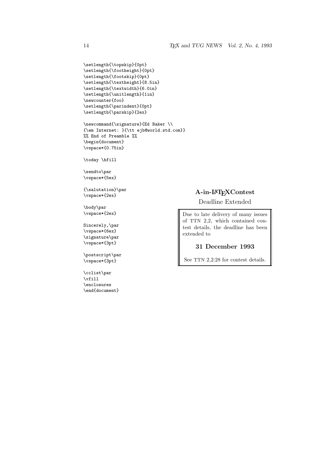```
\setlength{\topskip}{0pt}
\setlength{\footheight}{0pt}
\setlength{\footskip}{0pt}
\setlength{\textheight}{8.5in}
\setlength{\textwidth}{6.0in}
\setlength{\unitlength}{1in}
\newcounter{foo}
\setlength{\parindent}{0pt}
\setlength{\parskip}{2ex}
```

```
\newcommand{\signature}{Ed Baker \\
{\em Internet: }{\tt ejb@world.std.com}}
%% End of Preamble %%
\begin{document}
\vspace*{0.75in}
```
\today \hfill

\sendto\par \vspace\*{5ex}

{\salutation}\par \vspace\*{2ex}

\body\par \vspace\*{2ex}

Sincerely,\par \vspace\*{6ex} \signature\par \vspace\*{3pt}

\postscript\par \vspace\*{3pt}

\cclist\par \vfill \enclosures \end{document}

#### A-in-L<sup>A</sup>TEXContest

Deadline Extended

Due to late delivery of many issues of TTN 2,2, which contained contest details, the deadline has been extended to

#### 31 December 1993

See TTN 2,2:28 for contest details.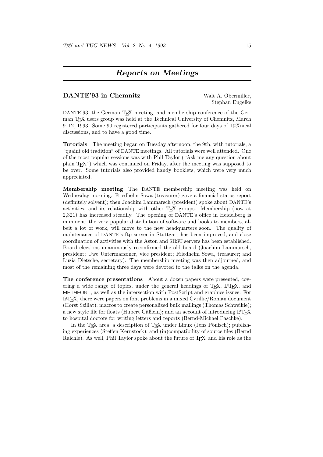#### Reports on Meetings

#### DANTE'93 in Chemnitz Walt A. Obermiller,

Stephan Engelke

DANTE'93, the German T<sub>EX</sub> meeting, and membership conference of the German TEX users group was held at the Technical University of Chemnitz, March 9–12, 1993. Some 90 registered participants gathered for four days of TEXnical discussions, and to have a good time.

Tutorials The meeting began on Tuesday afternoon, the 9th, with tutorials, a "quaint old tradition" of DANTE meetings. All tutorials were well attended. One of the most popular sessions was with Phil Taylor ("Ask me any question about plain TEX") which was continued on Friday, after the meeting was supposed to be over. Some tutorials also provided handy booklets, which were very much appreciated.

Membership meeting The DANTE membership meeting was held on Wednesday morning. Friedhelm Sowa (treasurer) gave a financial status report (definitely solvent); then Joachim Lammarsch (president) spoke about DANTE's activities, and its relationship with other TEX groups. Membership (now at 2,321) has increased steadily. The opening of DANTE's office in Heidelberg is imminent; the very popular distribution of software and books to members, albeit a lot of work, will move to the new headquarters soon. The quality of maintenance of DANTE's ftp server in Stuttgart has been improved, and close coordination of activities with the Aston and SHSU servers has been established. Board elections unanimously reconfirmed the old board (Joachim Lammarsch, president; Uwe Untermarzoner, vice president; Friedhelm Sowa, treasurer; and Luzia Dietsche, secretary). The membership meeting was then adjourned, and most of the remaining three days were devoted to the talks on the agenda.

The conference presentations About a dozen papers were presented, covering a wide range of topics, under the general headings of T<sub>E</sub>X, L<sup>AT</sup>EX, and METAFONT, as well as the intersection with PostScript and graphics issues. For LATEX, there were papers on font problems in a mixed Cyrillic/Roman document (Horst Szillat); macros to create personalized bulk mailings (Thomas Schweikle); a new style file for floats (Hubert Gäßlein); and an account of introducing LAT<sub>EX</sub> to hospital doctors for writing letters and reports (Bernd-Michael Paschke).

In the T<sub>E</sub>X area, a description of T<sub>E</sub>X under Linux (Jens Pönisch); publishing experiences (Steffen Kernstock); and (in)compatibility of source files (Bernd Raichle). As well, Phil Taylor spoke about the future of T<sub>E</sub>X and his role as the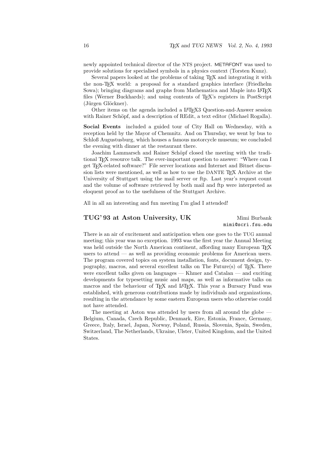newly appointed technical director of the NTS project. METAFONT was used to provide solutions for specialised symbols in a physics context (Torsten Kunz).

Several papers looked at the problems of taking T<sub>EX</sub> and integrating it with the non-TEX world: a proposal for a standard graphics interface (Friedhelm Sowa); bringing diagrams and graphs from Mathematica and Maple into LATFX files (Werner Buckhards); and using contents of T<sub>E</sub>X's registers in PostScript (Jürgen Glöckner).

Other items on the agenda included a LAT<sub>E</sub>X3 Question-and-Answer session with Rainer Schöpf, and a description of REdit, a text editor (Michael Rogalla).

Social Events included a guided tour of City Hall on Wednesday, with a reception held by the Mayor of Chemnitz. And on Thursday, we went by bus to Schloß Augustusburg, which houses a famous motorcycle museum; we concluded the evening with dinner at the restaurant there.

Joachim Lammarsch and Rainer Schöpf closed the meeting with the traditional TEX resource talk. The ever-important question to answer: "Where can I get TEX-related software?" File server locations and Internet and Bitnet discussion lists were mentioned, as well as how to use the DANTE T<sub>EX</sub> Archive at the University of Stuttgart using the mail server or ftp. Last year's request count and the volume of software retrieved by both mail and ftp were interpreted as eloquent proof as to the usefulness of the Stuttgart Archive.

All in all an interesting and fun meeting I'm glad I attended!

#### TUG' 93 at Aston University, UK Mimi Burbank

mimi@scri.fsu.edu

There is an air of excitement and anticipation when one goes to the TUG annual meeting; this year was no exception. 1993 was the first year the Annual Meeting was held outside the North American continent, affording many European T<sub>E</sub>X users to attend — as well as providing economic problems for American users. The program covered topics on system installation, fonts, document design, typography, macros, and several excellent talks on The Future $(s)$  of T<sub>E</sub>X. There were excellent talks given on languages — Khmer and Catalan — and exciting developments for typesetting music and maps, as well as informative talks on macros and the behaviour of T<sub>EX</sub> and L<sup>A</sup>T<sub>EX</sub>. This year a Bursary Fund was established, with generous contributions made by individuals and organizations, resulting in the attendance by some eastern European users who otherwise could not have attended.

The meeting at Aston was attended by users from all around the globe — Belgium, Canada, Czech Republic, Denmark, Eire, Estonia, France, Germany, Greece, Italy, Israel, Japan, Norway, Poland, Russia, Slovenia, Spain, Sweden, Switzerland, The Netherlands, Ukraine, Ulster, United Kingdom, and the United States.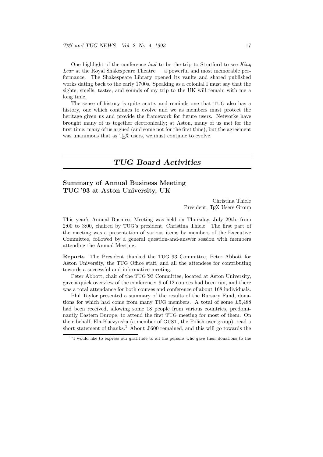One highlight of the conference *had* to be the trip to Stratford to see *King Lear* at the Royal Shakespeare Theatre — a powerful and most memorable performance. The Shakespeare Library opened its vaults and shared published works dating back to the early 1700s. Speaking as a colonial I must say that the sights, smells, tastes, and sounds of my trip to the UK will remain with me a long time.

The sense of history is quite acute, and reminds one that TUG also has a history, one which continues to evolve and we as members must protect the heritage given us and provide the framework for future users. Networks have brought many of us together electronically; at Aston, many of us met for the first time; many of us argued (and some not for the first time), but the agreement was unanimous that as T<sub>E</sub>X users, we must continue to evolve.

#### TUG Board Activities

#### Summary of Annual Business Meeting TUG '93 at Aston University, UK

Christina Thiele President, T<sub>EX</sub> Users Group

This year's Annual Business Meeting was held on Thursday, July 29th, from 2:00 to 3:00, chaired by TUG's president, Christina Thiele. The first part of the meeting was a presentation of various items by members of the Executive Committee, followed by a general question-and-answer session with members attending the Annual Meeting.

Reports The President thanked the TUG '93 Committee, Peter Abbott for Aston University, the TUG Office staff, and all the attendees for contributing towards a successful and informative meeting.

Peter Abbott, chair of the TUG '93 Committee, located at Aston University, gave a quick overview of the conference: 9 of 12 courses had been run, and there was a total attendance for both courses and conference of about 168 individuals.

Phil Taylor presented a summary of the results of the Bursary Fund, donations for which had come from many TUG members. A total of some £5,488 had been received, allowing some 18 people from various countries, predominantly Eastern Europe, to attend the first TUG meeting for most of them. On their behalf, Ela Kuczynska (a member of GUST, the Polish user group), read a short statement of thanks.<sup>1</sup> About £600 remained, and this will go towards the

<sup>&</sup>lt;sup>1</sup>"I would like to express our gratitude to all the persons who gave their donations to the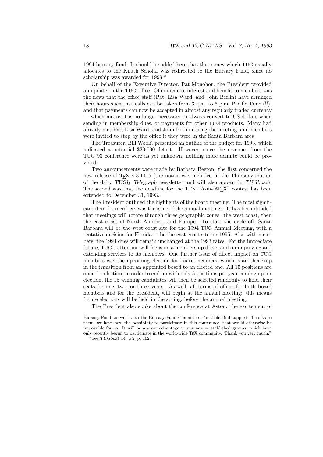1994 bursary fund. It should be added here that the money which TUG usually allocates to the Knuth Scholar was redirected to the Bursary Fund, since no scholarship was awarded for 1993.<sup>2</sup>

On behalf of the Executive Director, Pat Monohon, the President provided an update on the TUG office. Of immediate interest and benefit to members was the news that the office staff (Pat, Lisa Ward, and John Berlin) have arranged their hours such that calls can be taken from 3 a.m. to 6 p.m. Pacific Time (!!), and that payments can now be accepted in almost any regularly traded currency — which means it is no longer necessary to always convert to US dollars when sending in membership dues, or payments for other TUG products. Many had already met Pat, Lisa Ward, and John Berlin during the meeting, and members were invited to stop by the office if they were in the Santa Barbara area.

The Treasurer, Bill Woolf, presented an outline of the budget for 1993, which indicated a potential \$30,000 deficit. However, since the revenues from the TUG '93 conference were as yet unknown, nothing more definite could be provided.

Two announcements were made by Barbara Beeton: the first concerned the new release of T<sub>EX</sub> v.3.1415 (the notice was included in the Thursday edition of the daily TUGly Telegraph newsletter and will also appear in TUGboat). The second was that the deadline for the TTN "A-in-LAT<sub>EX</sub>" contest has been extended to December 31, 1993.

The President outlined the highlights of the board meeting. The most significant item for members was the issue of the annual meetings. It has been decided that meetings will rotate through three geographic zones: the west coast, then the east coast of North America, and Europe. To start the cycle off, Santa Barbara will be the west coast site for the 1994 TUG Annual Meeting, with a tentative decision for Florida to be the east coast site for 1995. Also with members, the 1994 dues will remain unchanged at the 1993 rates. For the immediate future, TUG's attention will focus on a membership drive, and on improving and extending services to its members. One further issue of direct impact on TUG members was the upcoming election for board members, which is another step in the transition from an appointed board to an elected one. All 15 positions are open for election; in order to end up with only 5 positions per year coming up for election, the 15 winning candidates will then be selected randomly to hold their seats for one, two, or three years. As well, all terms of office, for both board members and for the president, will begin at the annual meeting: this means future elections will be held in the spring, before the annual meeting.

The President also spoke about the conference at Aston: the excitement of

Bursary Fund, as well as to the Bursary Fund Committee, for their kind support. Thanks to them, we have now the possibility to participate in this conference, that would otherwise be impossible for us. It will be a great advantage to our newly-established groups, which have only recently begun to participate in the world-wide TEX community. Thank you very much."

<sup>&</sup>lt;sup>2</sup>See TUGboat 14,  $#2$ , p. 102.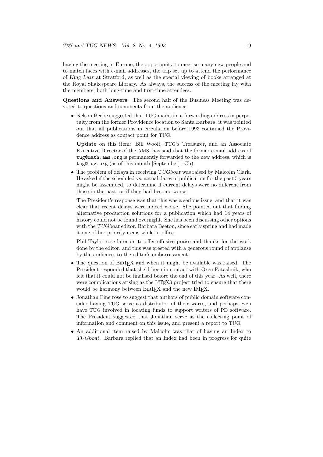having the meeting in Europe, the opportunity to meet so many new people and to match faces with e-mail addresses, the trip set up to attend the performance of King Lear at Stratford, as well as the special viewing of books arranged at the Royal Shakespeare Library. As always, the success of the meeting lay with the members, both long-time and first-time attendees.

Questions and Answers The second half of the Business Meeting was devoted to questions and comments from the audience.

• Nelson Beebe suggested that TUG maintain a forwarding address in perpetuity from the former Providence location to Santa Barbara; it was pointed out that all publications in circulation before 1993 contained the Providence address as contact point for TUG.

Update on this item: Bill Woolf, TUG's Treasurer, and an Associate Executive Director of the AMS, has said that the former e-mail address of tug@math.ams.org is permanently forwarded to the new address, which is tug@tug.org (as of this month [September] –Ch).

• The problem of delays in receiving TUGboat was raised by Malcolm Clark. He asked if the scheduled vs. actual dates of publication for the past 5 years might be assembled, to determine if current delays were no different from those in the past, or if they had become worse.

The President's response was that this was a serious issue, and that it was clear that recent delays were indeed worse. She pointed out that finding alternative production solutions for a publication which had 14 years of history could not be found overnight. She has been discussing other options with the TUG boat editor, Barbara Beeton, since early spring and had made it one of her priority items while in office.

Phil Taylor rose later on to offer effusive praise and thanks for the work done by the editor, and this was greeted with a generous round of applause by the audience, to the editor's embarrassment.

- The question of BIBT<sub>EX</sub> and when it might be available was raised. The President responded that she'd been in contact with Oren Patashnik, who felt that it could not be finalised before the end of this year. As well, there were complications arising as the IATFX3 project tried to ensure that there would be harmony between BIBTEX and the new LATEX.
- Jonathan Fine rose to suggest that authors of public domain software consider having TUG serve as distributor of their wares, and perhaps even have TUG involved in locating funds to support writers of PD software. The President suggested that Jonathan serve as the collecting point of information and comment on this issue, and present a report to TUG.
- An additional item raised by Malcolm was that of having an Index to TUGboat. Barbara replied that an Index had been in progress for quite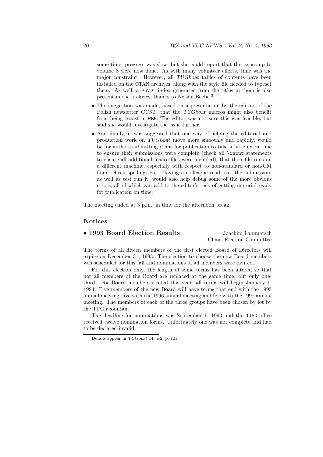some time; progress was slow, but she could report that the issues up to volume 8 were now done. As with many volunteer efforts, time was the major constraint. However, all TUGboat tables of contents have been installed on the CTAN archives, along with the style file needed to typeset them. As well, a KWIC index generated from the titles in them is also present in the archives, thanks to Nelson Beebe.<sup>3</sup>

- The suggestion was made, based on a presentation by the editors of the Polish newsletter GUST, that the TUGboat macros might also benefit from being recast in WEB. The editor was not sure this was feasible, but said she would investigate the issue further.
- And finally, it was suggested that one way of helping the editorial and production work on TUGboat move more smoothly and rapidly, would be for authors submitting items for publication to take a little extra time to ensure their submissions were complete (check all \input statements to ensure all additional macro files were included), that their file runs on a different machine, especially with respect to non-standard or non-CM fonts; check spelling; etc. Having a colleague read over the submission, as well as test run it, would also help debug some of the more obvious errors, all of which can add to the editor's task of getting material ready for publication on time.

The meeting ended at 3 p.m., in time for the afternoon break.

#### Notices

#### • 1993 Board Election Results Joachim Lammarsch

Chair, Election Committee

The terms of all fifteen members of the first elected Board of Directors will expire on December 31, 1993. The election to choose the new Board members was scheduled for this fall and nominations of all members were invited.

For this election only, the length of some terms has been altered so that not all members of the Board are replaced at the same time, but only onethird. For Board members elected this year, all terms will begin January 1, 1994. Five members of the new Board will have terms that end with the 1995 annual meeting, five with the 1996 annual meeting and five with the 1997 annual meeting. The members of each of the three groups have been chosen by lot by the TUG acountant.

The deadline for nominations was September 1, 1993 and the TUG office received twelve nomination forms. Unfortuately one was not complete and had to be declared invalid.

<sup>&</sup>lt;sup>3</sup>Details appear in TUGboat 14,  $\#2$ , p. 101.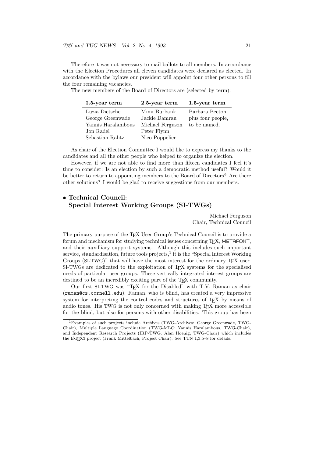Therefore it was not necessary to mail ballots to all members. In accordance with the Election Procedures all eleven candidates were declared as elected. In accordance with the bylaws our president will appoint four other persons to fill the four remaining vacancies.

The new members of the Board of Directors are (selected by term):

| $3.5$ -year term   | 2.5-year term    | $1.5$ -year term  |
|--------------------|------------------|-------------------|
| Luzia Dietsche     | Mimi Burbank     | Barbara Beeton    |
| George Greenwade   | Jackie Damrau    | plus four people, |
| Yannis Haralambous | Michael Ferguson | to be named.      |
| Jon Radel          | Peter Flynn      |                   |
| Sebastian Rahtz    | Nico Poppelier   |                   |

As chair of the Election Committee I would like to express my thanks to the candidates and all the other people who helped to organize the election.

However, if we are not able to find more than fifteen candidates I feel it's time to consider: Is an election by such a democratic method useful? Would it be better to return to appointing members to the Board of Directors? Are there other solutions? I would be glad to receive suggestions from our members.

#### • Technical Council: Special Interest Working Groups (SI-TWGs)

Michael Ferguson Chair, Technical Council

The primary purpose of the T<sub>EX</sub> User Group's Technical Council is to provide a forum and mechanism for studying technical issues concerning TEX, METAFONT, and their auxilliary support systems. Although this includes such important service, standardisation, future tools projects, $^{1}$  it is the "Special Interest Working Groups (SI-TWG)" that will have the most interest for the ordinary  $T_F X$  user. SI-TWGs are dedicated to the exploitation of T<sub>E</sub>X systems for the specialised needs of particular user groups. These vertically integrated interest groups are destined to be an incredibly exciting part of the T<sub>E</sub>X community.

Our first SI-TWG was "TEX for the Disabled" with T.V. Raman as chair (raman@cs.cornell.edu). Raman, who is blind, has created a very impressive system for interpreting the control codes and structures of T<sub>E</sub>X by means of audio tones. His TWG is not only concerned with making TEX more accessible for the blind, but also for persons with other disabilities. This group has been

<sup>&</sup>lt;sup>1</sup>Examples of such projects include Archives (TWG-Archives: George Greenwade, TWG-Chair), Multiple Language Coordination (TWG-MLC: Yannis Haralambous, TWG-Chair), and Independent Research Projects (IRP-TWG: Alan Hoenig, TWG-Chair) which includes the L<sup>A</sup>TEX3 project (Frank Mittelbach, Project Chair). See TTN 1,3:5–8 for details.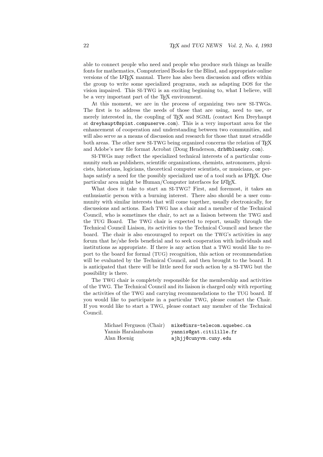able to connect people who need and people who produce such things as braille fonts for mathematics, Computerized Books for the Blind, and appropriate online versions of the LAT<sub>EX</sub> manual. There has also been discussion and offers within the group to write some specialized programs, such as adapting DOS for the vision impaired. This SI-TWG is an exciting beginning to, what I believe, will be a very important part of the T<sub>E</sub>X environment.

At this moment, we are in the process of organizing two new SI-TWGs. The first is to address the needs of those that are using, need to use, or merely interested in, the coupling of T<sub>E</sub>X and SGML (contact Ken Dreyhaupt at dreyhaupt@spint.compuserve.com). This is a very important area for the enhancement of cooperation and understanding between two communities, and will also serve as a means of discussion and research for those that must straddle both areas. The other new SI-TWG being organized concerns the relation of T<sub>E</sub>X and Adobe's new file format Acrobat (Doug Henderson, drh@bluesky.com).

SI-TWGs may reflect the specialized technical interests of a particular community such as publishers, scientific organizations, chemists, astronomers, physicists, historians, logicians, theoretical computer scientists, or musicians, or perhaps satisfy a need for the possibly specialized use of a tool such as IATEX. One particular area might be Human/Computer interfaces for LAT<sub>E</sub>X.

What does it take to start an SI-TWG? First, and foremost, it takes an enthusiastic person with a burning interest. There also should be a user community with similar interests that will come together, usually electronically, for discussions and actions. Each TWG has a chair and a member of the Technical Council, who is sometimes the chair, to act as a liaison between the TWG and the TUG Board. The TWG chair is expected to report, usually through the Technical Council Liaison, its activities to the Technical Council and hence the board. The chair is also encouraged to report on the TWG's activities in any forum that he/she feels beneficial and to seek cooperation with individuals and institutions as appropriate. If there is any action that a TWG would like to report to the board for formal (TUG) recognition, this action or recommendation will be evaluated by the Technical Council, and then brought to the board. It is anticipated that there will be little need for such action by a SI-TWG but the possibility is there.

The TWG chair is completely responsible for the membership and activities of the TWG. The Technical Council and its liaison is charged only with reporting the activities of the TWG and carrying recommendations to the TUG board. If you would like to participate in a particular TWG, please contact the Chair. If you would like to start a TWG, please contact any member of the Technical Council.

| Michael Ferguson (Chair) | mike@inrs-telecom.uquebec.ca |
|--------------------------|------------------------------|
| Yannis Haralambous       | yannis@gat.citilille.fr      |
| Alan Hoenig              | ajhjj@cunyvm.cuny.edu        |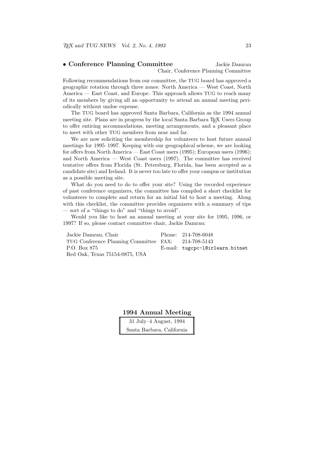#### • Conference Planning Committee Jackie Damrau Chair, Conference Planning Committee

Following recommendations from our committee, the TUG board has approved a geographic rotation through three zones: North America — West Coast, North America — East Coast, and Europe. This approach allows TUG to reach many of its members by giving all an opportunity to attend an annual meeting periodically without undue expense.

The TUG board has approved Santa Barbara, California as the 1994 annual meeting site. Plans are in progress by the local Santa Barbara T<sub>EX</sub> Users Group to offer enticing accommodations, meeting arrangements, and a pleasant place to meet with other TUG members from near and far.

We are now soliciting the membership for volunteers to host future annual meetings for 1995–1997. Keeping with our geographical scheme, we are looking for offers from North America — East Coast users (1995); European users (1996); and North America — West Coast users (1997). The committee has received tentative offers from Florida (St. Petersburg, Florida, has been accepted as a candidate site) and Ireland. It is never too late to offer your campus or institution as a possible meeting site.

What do you need to do to offer your site? Using the recorded experience of past conference organizers, the committee has compiled a short checklist for volunteers to complete and return for an initial bid to host a meeting. Along with this checklist, the committee provides organizers with a summary of tips — sort of a "things to do" and "things to avoid".

Would you like to host an annual meeting at your site for 1995, 1996, or 1997? If so, please contact committee chair, Jackie Damrau:

| Jackie Damrau, Chair                                | Phone: 214-708-6048             |
|-----------------------------------------------------|---------------------------------|
| TUG Conference Planning Committee FAX: 214-708-5143 |                                 |
| P.O. Box 875                                        | E-mail: tugcpc-10irlearn.bitnet |
| Red Oak, Texas 75154-0875, USA                      |                                 |

1994 Annual Meeting

31 July–4 August, 1994 Santa Barbara, California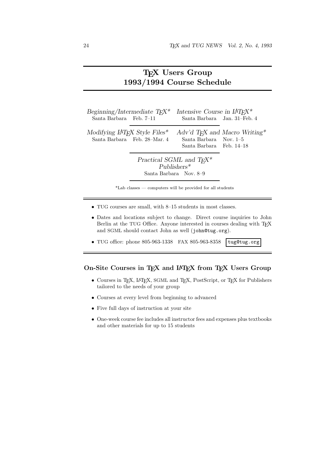## TEX Users Group 1993/1994 Course Schedule

| Beginning/Intermediate $T_F X^*$<br>Santa Barbara Feb. 7–11 |                              | Intensive Course in $LAT_FX^*$<br>Santa Barbara Jan. 31-Feb. 4               |                                           |
|-------------------------------------------------------------|------------------------------|------------------------------------------------------------------------------|-------------------------------------------|
| Modifying $LAT$ <sub>F</sub> X Style Files <sup>*</sup>     | Santa Barbara Feb. 28–Mar. 4 | Santa Barbara Nov. 1-5<br>Santa Barbara Feb. 14–18                           | Adv'd T <sub>F</sub> X and Macro Writing* |
|                                                             |                              | Practical SGML and $T_F X^*$<br>P <sub>uhlis</sub><br>Santa Barbara Nov. 8–9 |                                           |

\*Lab classes — computers will be provided for all students

- TUG courses are small, with 8–15 students in most classes.
- Dates and locations subject to change. Direct course inquiries to John Berlin at the TUG Office. Anyone interested in courses dealing with TEX and SGML should contact John as well (john@tug.org).
- TUG office: phone  $805-963-1338$  FAX  $805-963-8358$  tug@tug.org

#### On-Site Courses in TEX and IATEX from TEX Users Group

- Courses in TEX, LATEX, SGML and TEX, PostScript, or TEX for Publishers tailored to the needs of your group
- Courses at every level from beginning to advanced
- Five full days of instruction at your site
- One-week course fee includes all instructor fees and expenses plus textbooks and other materials for up to 15 students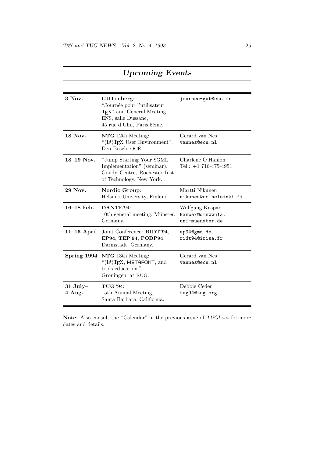| 3 Nov.               | GUTenberg:<br>"Journée pour l'utilisateur<br>T <sub>F</sub> X" and General Meeting.<br>ENS, salle Dussane,<br>45 rue d'Ulm, Paris 5ème. | journee-gut@ens.fr                                     |
|----------------------|-----------------------------------------------------------------------------------------------------------------------------------------|--------------------------------------------------------|
| 18 Nov.              | NTG 12th Meeting:<br>"(IA)TEX User Environment".<br>Den Bosch, OCÉ.                                                                     | Gerard van Nes<br>vannes@ecn.nl                        |
| $18-19$ Nov.         | "Jump Starting Your SGML<br>Implementation" (seminar).<br>Goudy Centre, Rochester Inst.<br>of Technology, New York.                     | Charlene O'Hanlon<br>Tel.: $+1$ 716-475-4951           |
| 29 Nov.              | Nordic Group:<br>Helsinki University, Finland.                                                                                          | Martti Nikunen<br>nikunen@cc.helsinki.fi               |
| $16-18$ Feb.         | DANTE'94:<br>10th general meeting, Münster,<br>Germany.                                                                                 | Wolfgang Kaspar<br>kaspar@dmswwu1a.<br>uni-muenster.de |
| $11-15$ April        | Joint Conference: RIDT'94,<br>EP94, TEP'94, PODP94.<br>Darmstadt, Germany.                                                              | ep94@gmd.de,<br>ridt94@irisa.fr                        |
|                      | Spring 1994 NTG 13th Meeting:<br>" $(LA)$ T <sub>F</sub> X, METAFONT, and<br>tools education."<br>Groningen, at RUG.                    | Gerard van Nes<br>vannes@ecn.nl                        |
| $31$ July-<br>4 Aug. | <b>TUG '94:</b><br>15th Annual Meeting,<br>Santa Barbara, California.                                                                   | Debbie Ceder<br>tug94@tug.org                          |

## Upcoming Events

Note: Also consult the "Calendar" in the previous issue of TUGboat for more dates and details.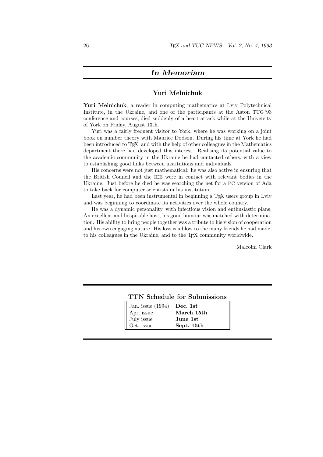#### In Memoriam

#### Yuri Melnichuk

Yuri Melnichuk, a reader in computing mathematics at Lviv Polytechnical Institute, in the Ukraine, and one of the participants at the Aston TUG '93 conference and courses, died suddenly of a heart attack while at the University of York on Friday, August 13th.

Yuri was a fairly frequent visitor to York, where he was working on a joint book on number theory with Maurice Dodson. During his time at York he had been introduced to T<sub>E</sub>X, and with the help of other colleagues in the Mathematics department there had developed this interest. Realising its potential value to the academic community in the Ukraine he had contacted others, with a view to establishing good links between institutions and individuals.

His concerns were not just mathematical: he was also active in ensuring that the British Council and the IEE were in contact with relevant bodies in the Ukraine. Just before he died he was searching the net for a PC version of Ada to take back for computer scientists in his institution.

Last year, he had been instrumental in beginning a T<sub>E</sub>X users group in Lviv and was beginning to coordinate its activities over the whole country.

He was a dynamic personality, with infectious vision and enthusiastic plans. An excellent and hospitable host, his good humour was matched with determination. His ability to bring people together was a tribute to his vision of cooperation and his own engaging nature. His loss is a blow to the many friends he had made, to his colleagues in the Ukraine, and to the T<sub>E</sub>X community worldwide.

Malcolm Clark

|                              | <b>TTN Schedule for Submissions</b> |
|------------------------------|-------------------------------------|
| Jan. issue $(1994)$ Dec. 1st |                                     |
| Apr. issue                   | March 15th                          |
| July issue                   | June 1st                            |
| Oct. issue                   | Sept. 15th                          |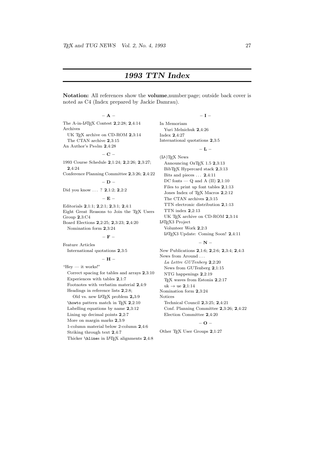## 1993 TTN Index

Notation: All references show the volume,number:page; outside back cover is noted as C4 (Index prepared by Jackie Damrau).

#### $-$  A  $-$

The A-in-L<sup>A</sup>TEX Contest 2,2:28; 2,4:14 Archives UK TEX archive on CD-ROM 2,3:14 The CTAN archive 2,3:15

An Author's Ps@lm 2,4:28

#### $-$  C –

1993 Course Schedule 2,1:24; 2,2:26; 2,3:27; 2,4:24

Conference Planning Committee 2,3:26; 2,4:22  $-$  D  $-$ 

Did you know . . . ? **2**,1:2; **2**,2:2

#### – E –

Editorials 2,1:1; 2,2:1; 2,3:1; 2,4:1 Eight Great Reasons to Join the TEX Users Group 2,3:C4 Board Elections 2,2:25; 2,3:23; 2,4:20 Nomination form 2,3:24

 $-$  F  $-$ 

Feature Articles

International quotations 2,3:5

#### – H –

"Hey — it works!" Correct spacing for tables and arrays 2,3:10 Experiences with tables 2,1:7 Footnotes with verbatim material 2,4:9 Headings in reference lists 2,2:8; Old vs. new LAT<sub>E</sub>X problem 2,3:9 \howto pattern match in T<sub>E</sub>X  $2,2:10$ Labelling equations by name 2,3:12 Lining up decimal points 2,2:7 More on margin marks 2,3:9 1-column material below 2-column 2,4:6 Striking through text 2,4:7 Thicker \hlines in LAT<sub>F</sub>X alignments 2,4:8

#### – I –

In Memoriam Yuri Melnichuk 2,4:26 Index 2,4:27 International quotations 2,3:5

#### $-$  L  $-$

(L<sup>A</sup>)TEX News Announcing OzT $\overline{K}$  1.5 2,3:13 BibT<sub>E</sub>X Hypercard stack 2,3:13 Bits and pieces ... 2,4:11 DC fonts —  $Q$  and A (II)  $2,1:10$ Files to print up font tables 2,1:13 Jones Index of T<sub>E</sub>X Macros 2,2:12 The CTAN archives 2,3:15 TTN electronic distribution 2,1:13 TTN index 2,2:13 UK TEX archive on CD-ROM 2,3:14 L<sup>A</sup>TEX3 Project Volunteer Work 2,2:3

L<sup>A</sup>TEX3 Update: Coming Soon! 2,4:11

#### $-$  N  $-$

New Publications 2,1:6; 2,2:6; 2,3:4; 2,4:3 News from Around . . . La Lettre GUTenberg 2,2:20 News from GUTenberg 2,1:15 NTG happenings 2,2:19 T<sub>E</sub>X waves from Estonia 2,2:17 uk  $\rightarrow$  ue 2,1:14 Nomination form 2,3:24 Notices Technical Council 2,3:25; 2,4:21 Conf. Planning Committee 2,3:26; 2,4:22 Election Committee 2,4:20

#### – O –

Other T<sub>E</sub>X User Groups 2,1:27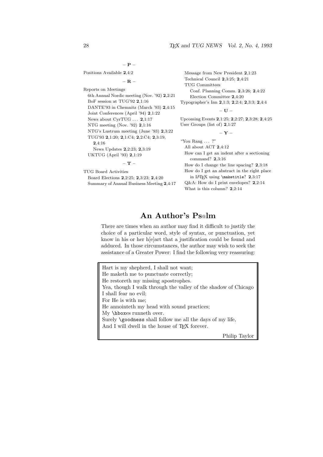$-$  P  $-$ 

Positions Available 2,4:2

– R –

Reports on Meetings 6th Annual Nordic meeting (Nov. '92) 2,2:21 BoF session at TUG'92 2,1:16 DANTE'93 in Chemnitz (March '93) 2,4:15 Joint Conferences (April '94) 2,1:22 News about CyrTUG ... 2,1:17 NTG meeting (Nov. '92) 2,1:16 NTG's Lustrum meeting (June '93) 2,3:22 TUG'93 2,1:20; 2,1:C4; 2,2:C4; 2,3:19, 2,4:16 News Updates 2,2:23; 2,3:19 UKTUG (April '93) 2,1:19

 $-$  T  $-$ 

TUG Board Activities

Board Elections 2,2:25; 2,3:23; 2,4:20 Summary of Annual Business Meeting 2,4:17 Message from New President 2,1:23 Technical Council 2,3:25; 2,4:21 TUG Committees Conf. Planning Comm. 2,3:26; 2,4:22 Election Committee 2,4:20

Typographer's Inn 2,1:3; 2,2:4; 2,3:3; 2,4:4

– U –

Upcoming Events 2,1:25; 2,2:27; 2,3:28; 2,4:25 User Groups (list of) 2,1:27

– Y –

"You Rang  $\ldots$  ?" All about ACT 2,4:12

How can I get an indent after a sectioning command? 2,3:16

How do I change the line spacing? 2,3:18 How do I get an abstract in the right place in LAT<sub>E</sub>X using \maketitle? 2,3:17 Q&A: How do I print envelopes? 2,2:14 What is this column? 2,2:14

#### An Author's Ps@lm

There are times when an author may find it difficult to justify the choice of a particular word, style of syntax, or punctuation, yet know in his or her h[e]art that a justification could be found and adduced. In those circumstances, the author may wish to seek the assistance of a Greater Power: I find the following very reassuring:

Hart is my shepherd, I shall not want; He maketh me to punctuate correctly; He restoreth my missing apostrophes. Yea, though I walk through the valley of the shadow of Chicago I shall fear no evil; For He is with me; He annointeth my head with sound practices; My \hboxes runneth over. Surely **\goodness** shall follow me all the days of my life, And I will dwell in the house of T<sub>E</sub>X forever. Philip Taylor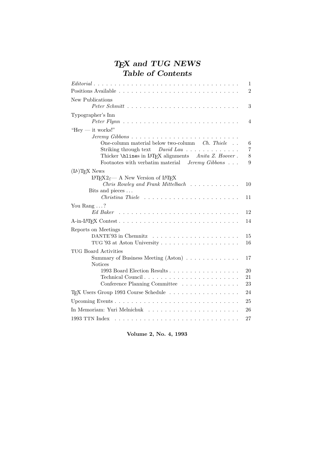## $T_{\hspace{-0.1em}E\hspace{-0.1em}E\hspace{-0.1em}E}$  and  $TUG$  NEWS Table of Contents

| $Editorial \dots \dots \dots \dots \dots \dots \dots \dots \dots \dots \dots \dots \dots \dots \dots \dots$<br>1                                                                                             |
|--------------------------------------------------------------------------------------------------------------------------------------------------------------------------------------------------------------|
| $\overline{2}$                                                                                                                                                                                               |
| New Publications<br>3                                                                                                                                                                                        |
| Typographer's Inn<br>4                                                                                                                                                                                       |
| "Hey $-$ it works!"<br>One-column material below two-column Ch. Thiele<br>6<br>7<br>Striking through text $David Law \dots \dots \dots \dots$                                                                |
| Thicker \hlines in IATFX alignments Anita Z. Hoover.<br>8<br>Footnotes with verbatim material $Jeremy\ Gibbs\ldots$ .<br>9                                                                                   |
| $(H)$ <sup>T</sup> <sub>F</sub> X News<br>$IAT$ <sub>F</sub> X2 <sub><math>\varepsilon</math></sub> A New Version of IAT <sub>F</sub> X<br><i>Chris Rowley and Frank Mittelbach</i><br>10<br>Bits and pieces |
| 11                                                                                                                                                                                                           |
| You Rang $\dots$ ?<br>12                                                                                                                                                                                     |
| 14                                                                                                                                                                                                           |
| Reports on Meetings<br>15<br>16                                                                                                                                                                              |
| <b>TUG Board Activities</b><br>Summary of Business Meeting $(Aston) \dots \dots \dots \dots$<br>17<br><b>Notices</b>                                                                                         |
| 1993 Board Election Results<br>20<br>21<br>Conference Planning Committee<br>23                                                                                                                               |
| T <sub>F</sub> X Users Group 1993 Course Schedule<br>24                                                                                                                                                      |
| 25                                                                                                                                                                                                           |
| 26                                                                                                                                                                                                           |
| 27                                                                                                                                                                                                           |

Volume 2, No. 4, 1993